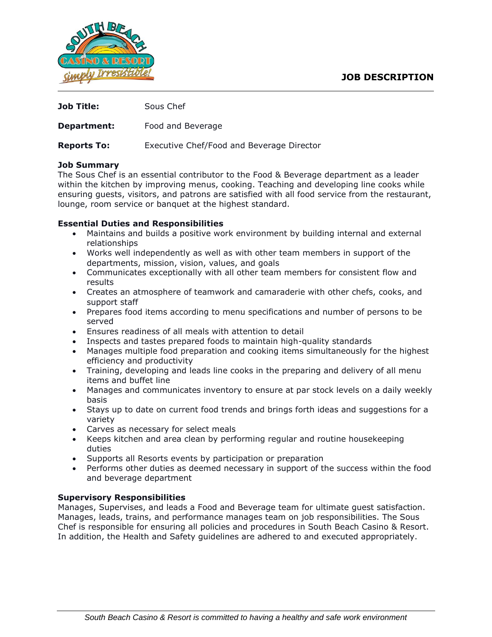

| Job Title:         | Sous Chef                                 |
|--------------------|-------------------------------------------|
| Department:        | Food and Beverage                         |
| <b>Reports To:</b> | Executive Chef/Food and Beverage Director |
| <b>Job Summary</b> |                                           |

The Sous Chef is an essential contributor to the Food & Beverage department as a leader within the kitchen by improving menus, cooking. Teaching and developing line cooks while ensuring guests, visitors, and patrons are satisfied with all food service from the restaurant, lounge, room service or banquet at the highest standard.

## **Essential Duties and Responsibilities**

- Maintains and builds a positive work environment by building internal and external relationships
- Works well independently as well as with other team members in support of the departments, mission, vision, values, and goals
- Communicates exceptionally with all other team members for consistent flow and results
- Creates an atmosphere of teamwork and camaraderie with other chefs, cooks, and support staff
- Prepares food items according to menu specifications and number of persons to be served
- Ensures readiness of all meals with attention to detail
- Inspects and tastes prepared foods to maintain high-quality standards
- Manages multiple food preparation and cooking items simultaneously for the highest efficiency and productivity
- Training, developing and leads line cooks in the preparing and delivery of all menu items and buffet line
- Manages and communicates inventory to ensure at par stock levels on a daily weekly basis
- Stays up to date on current food trends and brings forth ideas and suggestions for a variety
- Carves as necessary for select meals
- Keeps kitchen and area clean by performing regular and routine housekeeping duties
- Supports all Resorts events by participation or preparation
- Performs other duties as deemed necessary in support of the success within the food and beverage department

# **Supervisory Responsibilities**

Manages, Supervises, and leads a Food and Beverage team for ultimate guest satisfaction. Manages, leads, trains, and performance manages team on job responsibilities. The Sous Chef is responsible for ensuring all policies and procedures in South Beach Casino & Resort. In addition, the Health and Safety guidelines are adhered to and executed appropriately.